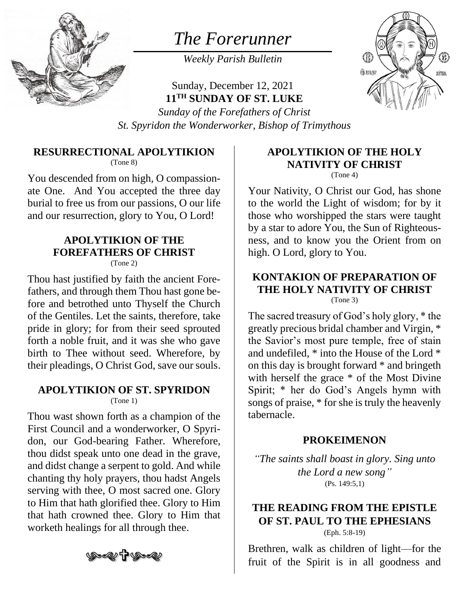

# *The Forerunner*

*Weekly Parish Bulletin*

Sunday, December 12, 2021 **11 TH SUNDAY OF ST. LUKE**



*Sunday of the Forefathers of Christ St. Spyridon the Wonderworker, Bishop of Trimythous*

#### **RESURRECTIONAL APOLYTIKION**

(Tone 8)

You descended from on high, O compassionate One. And You accepted the three day burial to free us from our passions, O our life and our resurrection, glory to You, O Lord!

# **APOLYTIKION OF THE FOREFATHERS OF CHRIST**

(Tone 2)

Thou hast justified by faith the ancient Forefathers, and through them Thou hast gone before and betrothed unto Thyself the Church of the Gentiles. Let the saints, therefore, take pride in glory; for from their seed sprouted forth a noble fruit, and it was she who gave birth to Thee without seed. Wherefore, by their pleadings, O Christ God, save our souls.

#### **APOLYTIKION OF ST. SPYRIDON**

(Tone 1)

Thou wast shown forth as a champion of the First Council and a wonderworker, O Spyridon, our God-bearing Father. Wherefore, thou didst speak unto one dead in the grave, and didst change a serpent to gold. And while chanting thy holy prayers, thou hadst Angels serving with thee, O most sacred one. Glory to Him that hath glorified thee. Glory to Him that hath crowned thee. Glory to Him that worketh healings for all through thee.

# ৩৩≪≥¶ ৩৯

## **APOLYTIKION OF THE HOLY NATIVITY OF CHRIST**

(Tone 4)

Your Nativity, O Christ our God, has shone to the world the Light of wisdom; for by it those who worshipped the stars were taught by a star to adore You, the Sun of Righteousness, and to know you the Orient from on high. O Lord, glory to You.

#### **KONTAKION OF PREPARATION OF THE HOLY NATIVITY OF CHRIST** (Tone 3)

The sacred treasury of God's holy glory, \* the greatly precious bridal chamber and Virgin, \* the Savior's most pure temple, free of stain and undefiled, \* into the House of the Lord \* on this day is brought forward \* and bringeth with herself the grace  $*$  of the Most Divine Spirit; \* her do God's Angels hymn with songs of praise, \* for she is truly the heavenly tabernacle.

#### **PROKEIMENON**

*"The saints shall boast in glory. Sing unto the Lord a new song"* (Ps. 149:5,1)

#### **THE READING FROM THE EPISTLE OF ST. PAUL TO THE EPHESIANS** (Eph. 5:8-19)

Brethren, walk as children of light—for the fruit of the Spirit is in all goodness and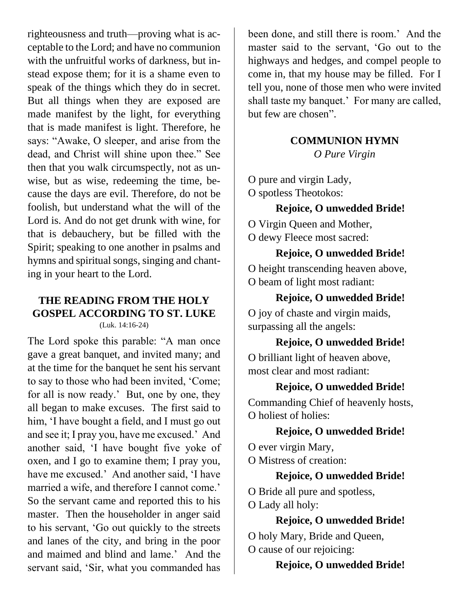righteousness and truth—proving what is acceptable to the Lord; and have no communion with the unfruitful works of darkness, but instead expose them; for it is a shame even to speak of the things which they do in secret. But all things when they are exposed are made manifest by the light, for everything that is made manifest is light. Therefore, he says: "Awake, O sleeper, and arise from the dead, and Christ will shine upon thee." See then that you walk circumspectly, not as unwise, but as wise, redeeming the time, because the days are evil. Therefore, do not be foolish, but understand what the will of the Lord is. And do not get drunk with wine, for that is debauchery, but be filled with the Spirit; speaking to one another in psalms and hymns and spiritual songs, singing and chanting in your heart to the Lord.

#### **THE READING FROM THE HOLY GOSPEL ACCORDING TO ST. LUKE** (Luk. 14:16-24)

The Lord spoke this parable: "A man once gave a great banquet, and invited many; and at the time for the banquet he sent his servant to say to those who had been invited, 'Come; for all is now ready.' But, one by one, they all began to make excuses. The first said to him, 'I have bought a field, and I must go out and see it; I pray you, have me excused.' And another said, 'I have bought five yoke of oxen, and I go to examine them; I pray you, have me excused.' And another said, 'I have married a wife, and therefore I cannot come.' So the servant came and reported this to his master. Then the householder in anger said to his servant, 'Go out quickly to the streets and lanes of the city, and bring in the poor and maimed and blind and lame.' And the servant said, 'Sir, what you commanded has

been done, and still there is room.' And the master said to the servant, 'Go out to the highways and hedges, and compel people to come in, that my house may be filled. For I tell you, none of those men who were invited shall taste my banquet.' For many are called, but few are chosen".

# **COMMUNION HYMN**

*O Pure Virgin*

O pure and virgin Lady, O spotless Theotokos:

## **Rejoice, O unwedded Bride!**

O Virgin Queen and Mother,

O dewy Fleece most sacred:

## **Rejoice, O unwedded Bride!**

O height transcending heaven above, O beam of light most radiant:

#### **Rejoice, O unwedded Bride!**

O joy of chaste and virgin maids, surpassing all the angels:

## **Rejoice, O unwedded Bride!**

O brilliant light of heaven above, most clear and most radiant:

## **Rejoice, O unwedded Bride!**

Commanding Chief of heavenly hosts, O holiest of holies:

## **Rejoice, O unwedded Bride!**

O ever virgin Mary, O Mistress of creation:

## **Rejoice, O unwedded Bride!**

O Bride all pure and spotless, O Lady all holy:

## **Rejoice, O unwedded Bride!**

O holy Mary, Bride and Queen, O cause of our rejoicing:

# **Rejoice, O unwedded Bride!**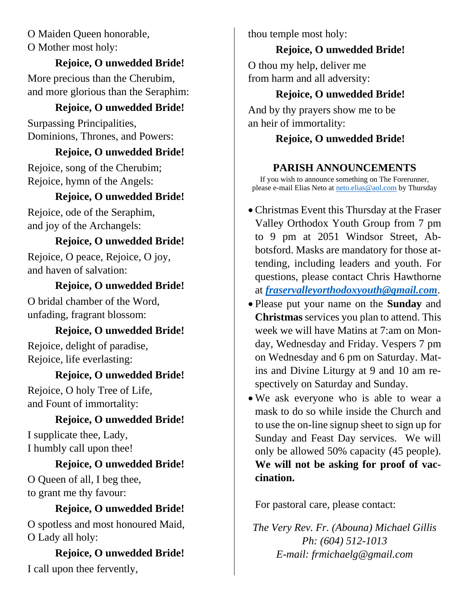O Maiden Queen honorable, O Mother most holy:

#### **Rejoice, O unwedded Bride!**

More precious than the Cherubim, and more glorious than the Seraphim:

# **Rejoice, O unwedded Bride!**

Surpassing Principalities, Dominions, Thrones, and Powers:

#### **Rejoice, O unwedded Bride!**

Rejoice, song of the Cherubim; Rejoice, hymn of the Angels:

# **Rejoice, O unwedded Bride!**

Rejoice, ode of the Seraphim, and joy of the Archangels:

## **Rejoice, O unwedded Bride!**

Rejoice, O peace, Rejoice, O joy, and haven of salvation:

#### **Rejoice, O unwedded Bride!**

O bridal chamber of the Word, unfading, fragrant blossom:

## **Rejoice, O unwedded Bride!**

Rejoice, delight of paradise, Rejoice, life everlasting:

## **Rejoice, O unwedded Bride!**

Rejoice, O holy Tree of Life, and Fount of immortality:

## **Rejoice, O unwedded Bride!**

I supplicate thee, Lady, I humbly call upon thee!

# **Rejoice, O unwedded Bride!**

O Queen of all, I beg thee, to grant me thy favour:

#### **Rejoice, O unwedded Bride!**

O spotless and most honoured Maid, O Lady all holy:

**Rejoice, O unwedded Bride!** I call upon thee fervently,

thou temple most holy:

# **Rejoice, O unwedded Bride!**

O thou my help, deliver me from harm and all adversity:

# **Rejoice, O unwedded Bride!**

And by thy prayers show me to be an heir of immortality:

# **Rejoice, O unwedded Bride!**

# **PARISH ANNOUNCEMENTS**

If you wish to announce something on The Forerunner, please e-mail Elias Neto at [neto.elias@aol.com](mailto:neto.elias@aol.com) by Thursday

- Christmas Event this Thursday at the Fraser Valley Orthodox Youth Group from 7 pm to 9 pm at 2051 Windsor Street, Abbotsford. Masks are mandatory for those attending, including leaders and youth. For questions, please contact Chris Hawthorne at *[fraservalleyorthodoxyouth@gmail.com](mailto:fraservalleyorthodoxyouth@gmail.com)*.
- Please put your name on the **Sunday** and **Christmas** services you plan to attend. This week we will have Matins at 7:am on Monday, Wednesday and Friday. Vespers 7 pm on Wednesday and 6 pm on Saturday. Matins and Divine Liturgy at 9 and 10 am respectively on Saturday and Sunday.
- We ask everyone who is able to wear a mask to do so while inside the Church and to use the on-line signup sheet to sign up for Sunday and Feast Day services. We will only be allowed 50% capacity (45 people). **We will not be asking for proof of vaccination.**

For pastoral care, please contact:

*The Very Rev. Fr. (Abouna) Michael Gillis Ph: (604) 512-1013 E-mail: frmichaelg@gmail.com*